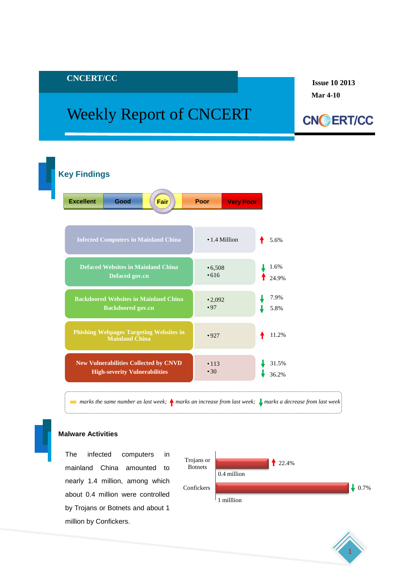# **CNCERT/CC**

# Weekly Report of CNCERT

**Issue 10 2013 Mar 4-10**





 $■$  *marks the same number as last week;*  $\uparrow$  *marks an increase from last week;*  $\downarrow$  *marks a decrease from last week* 

#### **Malware Activities**

 by Trojans or Botnets and about 1 The infected computers in mainland China amounted to nearly 1.4 million, among which about 0.4 million were controlled million by Confickers.



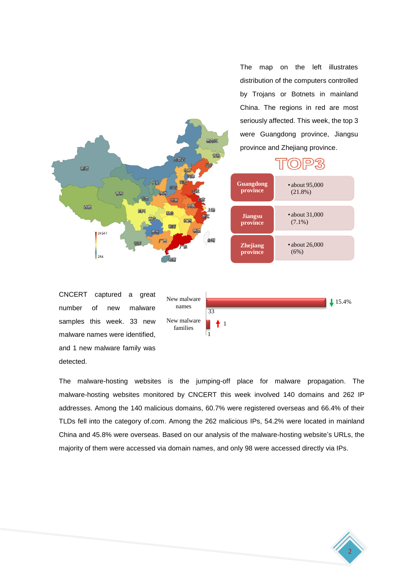The map on the left illustrates distribution of the computers controlled by Trojans or Botnets in mainland China. The regions in red are most seriously affected. This week, the top 3 were Guangdong province, Jiangsu province and Zhejiang province.



CNCERT captured a great number of new malware samples this week. 33 new malware names were identified, and 1 new malware family was detected.



The malware-hosting websites is the jumping-off place for malware propagation. The malware-hosting websites monitored by CNCERT this week involved 140 domains and 262 IP addresses. Among the 140 malicious domains, 60.7% were registered overseas and 66.4% of their TLDs fell into the category of.com. Among the 262 malicious IPs, 54.2% were located in mainland China and 45.8% were overseas. Based on our analysis of the malware-hosting website's URLs, the majority of them were accessed via domain names, and only 98 were accessed directly via IPs.

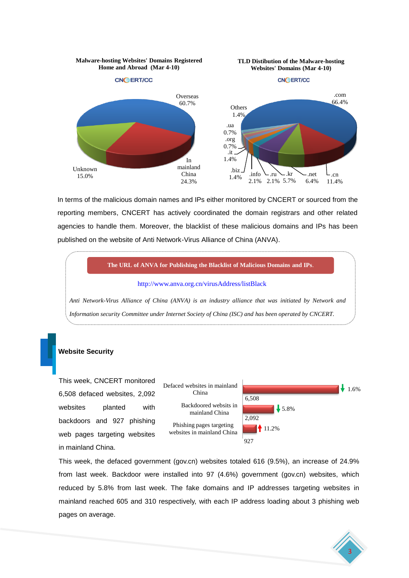

In terms of the malicious domain names and IPs either monitored by CNCERT or sourced from the reporting members, CNCERT has actively coordinated the domain registrars and other related agencies to handle them. Moreover, the blacklist of these malicious domains and IPs has been published on the website of Anti Network-Virus Alliance of China (ANVA).



# **Website Security**

This week, CNCERT monitored 6,508 defaced websites, 2,092 websites planted with backdoors and 927 phishing web pages targeting websites in mainland China.



This week, the defaced government (gov.cn) websites totaled 616 (9.5%), an increase of 24.9% from last week. Backdoor were installed into 97 (4.6%) government (gov.cn) websites, which reduced by 5.8% from last week. The fake domains and IP addresses targeting websites in mainland reached 605 and 310 respectively, with each IP address loading about 3 phishing web pages on average.

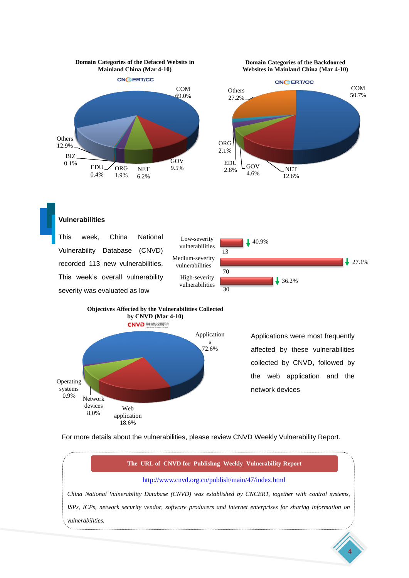

# **Vulnerabilities**





Applications were most frequently affected by these vulnerabilities collected by CNVD, followed by the web application and the network devices

4

For more details about the vulnerabilities, please review CNVD Weekly Vulnerability Report.

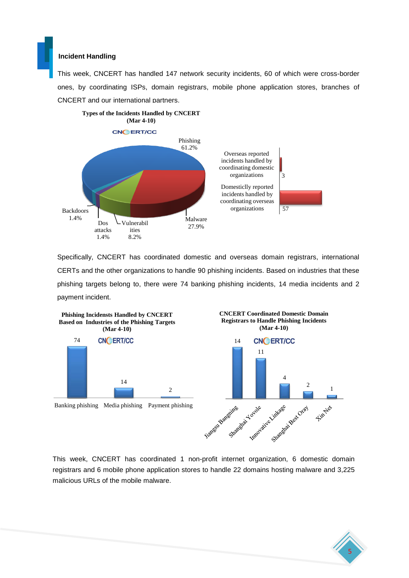#### **Incident Handling**

This week, CNCERT has handled 147 network security incidents, 60 of which were cross-border ones, by coordinating ISPs, domain registrars, mobile phone application stores, branches of CNCERT and our international partners.



Specifically, CNCERT has coordinated domestic and overseas domain registrars, international CERTs and the other organizations to handle 90 phishing incidents. Based on industries that these phishing targets belong to, there were 74 banking phishing incidents, 14 media incidents and 2 payment incident.



This week, CNCERT has coordinated 1 non-profit internet organization, 6 domestic domain registrars and 6 mobile phone application stores to handle 22 domains hosting malware and 3,225 malicious URLs of the mobile malware.

5